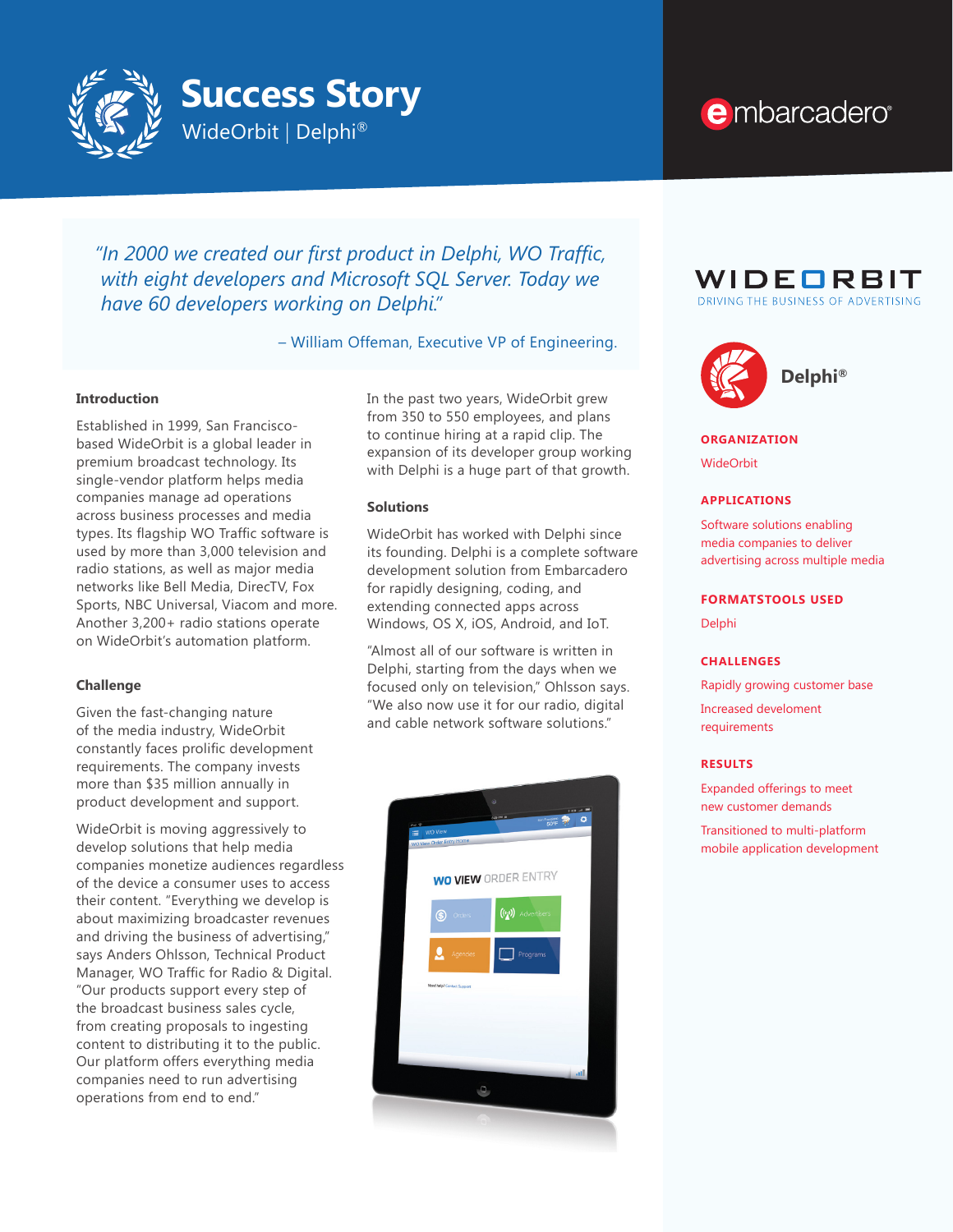

# e mbarcadero<sup>®</sup>

*"In 2000 we created our first product in Delphi, WO Traffic, with eight developers and Microsoft SQL Server. Today we have 60 developers working on Delphi."*

– William Offeman, Executive VP of Engineering.

## **Introduction**

Established in 1999, San Franciscobased WideOrbit is a global leader in premium broadcast technology. Its single-vendor platform helps media companies manage ad operations across business processes and media types. Its flagship WO Traffic software is used by more than 3,000 television and radio stations, as well as major media networks like Bell Media, DirecTV, Fox Sports, NBC Universal, Viacom and more. Another 3,200+ radio stations operate on WideOrbit's automation platform.

#### **Challenge**

Given the fast-changing nature of the media industry, WideOrbit constantly faces prolific development requirements. The company invests more than \$35 million annually in product development and support.

WideOrbit is moving aggressively to develop solutions that help media companies monetize audiences regardless of the device a consumer uses to access their content. "Everything we develop is about maximizing broadcaster revenues and driving the business of advertising," says Anders Ohlsson, Technical Product Manager, WO Traffic for Radio & Digital. "Our products support every step of the broadcast business sales cycle, from creating proposals to ingesting content to distributing it to the public. Our platform offers everything media companies need to run advertising operations from end to end."

In the past two years, WideOrbit grew from 350 to 550 employees, and plans to continue hiring at a rapid clip. The expansion of its developer group working with Delphi is a huge part of that growth.

# **Solutions**

WideOrbit has worked with Delphi since its founding. Delphi is a complete software development solution from Embarcadero for rapidly designing, coding, and extending connected apps across Windows, OS X, iOS, Android, and IoT.

"Almost all of our software is written in Delphi, starting from the days when we focused only on television," Ohlsson says. "We also now use it for our radio, digital and cable network software solutions."







#### **ORGANIZATION**

WideOrbit

#### **APPLICATIONS**

Software solutions enabling media companies to deliver advertising across multiple media

# **FORMATSTOOLS USED**

Delphi

#### **CHALLENGES**

Rapidly growing customer base

Increased develoment requirements

#### **RESULTS**

Expanded offerings to meet new customer demands

Transitioned to multi-platform mobile application development